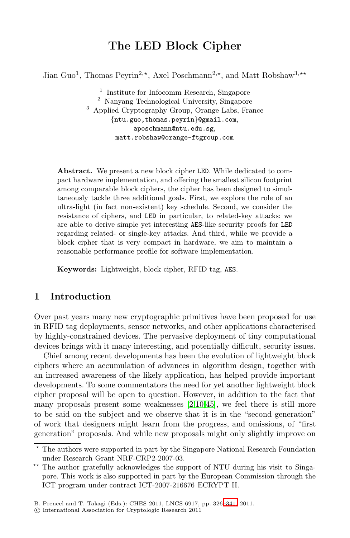# **The LED Block Cipher**

Jian Guo<sup>1</sup>, Thomas Peyrin<sup>2,\*</sup>, Axel Poschmann<sup>2,\*</sup>, and Matt Robshaw<sup>3,\*\*</sup>

<sup>1</sup> Institute for Infocomm Research, Singapore <sup>2</sup> Nanyang Technological University, Singapore <sup>3</sup> Applied Cryptography Group, Orange Labs, France *{*ntu.guo,thomas.peyrin*}*@gmail.com, aposchmann@ntu.edu.sg, matt.robshaw@orange-ftgroup.com

**Abstract.** We present a new block cipher LED. While dedicated to compact hardware implementation, and offering the smallest silicon footprint among comparable block ciphers, the cipher has been designed to simultaneously tackle three additional goals. First, we explore the role of an ultra-light (in fact non-existent) key schedule. Second, we consider the resistance of ciphers, and LED in particular, to related-key attacks: we are able to derive simple yet interesting AES-like security proofs for LED regarding related- or single-key attacks. And third, while we provide a block cipher that is very compact in hardware, we aim to maintain a reasonable performance profile for software implementation.

**Keywords:** Lightweight, block cipher, RFID tag, AES.

## **1 Introduction**

Over past years many new cryptographic primitives have been proposed for use in RFID tag deployments, sensor networks, and other applications characterised by highly-constrained devices. The pervasive deployment of tiny computational devices brings with it many interesting, and potentially difficult, security issues.

Chief among recent developments has been the evolution of lightweight block ciphers where an accumulation of advances in algorithm design, together with an increased awareness of the likely application, has helped provide important developments. To some commentators the need for yet another lightweight block cipher proposal will be open to question. However, in addition to the fact that many proposals present some weaknesses [\[2](#page-13-0)[,10,](#page-13-1)[45\]](#page-15-0), we feel there is still more to be said on the subject and we observe that it is in the "second generation" of work that designers might learn from the progress, and omissions, of "first generation" proposals. And while new proposals might only slightly improve on

<sup>\*</sup> The authors were supported in part by the Singapore National Research Foundation under Research Grant NRF-CRP2-2007-03.

<sup>\*\*</sup> The author gratefully acknowledges the support of NTU during his visit to Singapore. This work is also supported in part by the European Commission through the ICT program under contract ICT-2007-216676 ECRYPT II.

<sup>-</sup>c International Association for Cryptologic Research 2011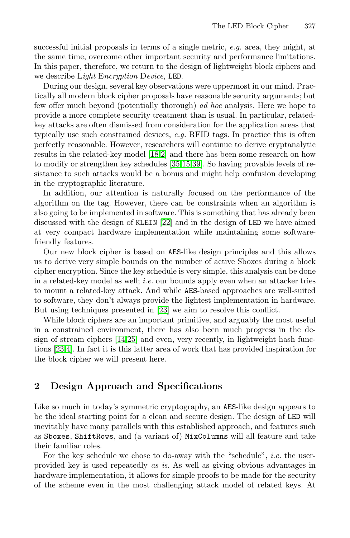successful initial proposals in terms of a single metric, *e.g.* area, they might, at the same time, overcome other important security and performance limitations. In this paper, therefore, we return to the design of lightweight block ciphers and we describe L*ight* E*ncryption* D*evice*, LED.

During our design, several key observations were uppermost in our mind. Practically all modern block cipher proposals have reasonable security arguments; but few offer much beyond (potentially thorough) *ad hoc* analysis. Here we hope to provide a more complete security treatment than is usual. In particular, relatedkey attacks are often dismissed from consideration for the application areas that typically use such constrained devices, *e.g.* RFID tags. In practice this is often perfectly reasonable. However, researchers will continue to derive cryptanalytic results in the related-key model [\[18](#page-14-0)[,2\]](#page-13-0) and there has been some research on how to modify or strengthen key schedules [\[35](#page-15-2)[,15](#page-14-1)[,39\]](#page-15-3). So having provable levels of resistance to such attacks would be a bonus and might help confusion developing in the cryptographic literature.

In addition, our attention is naturally focused on the performance of the algorithm on the tag. However, there can be constraints when an algorithm is also going to be implemented in software. This is something that has already been discussed with the design of KLEIN [\[22\]](#page-14-2) and in the design of LED we have aimed at very compact hardware implementation while maintaining some softwarefriendly features.

Our new block cipher is based on AES-like design principles and this allows us to derive very simple bounds on the number of active Sboxes during a block cipher encryption. Since the key schedule is very simple, this analysis can be done in a related-key model as well; *i.e.* our bounds apply even when an attacker tries to mount a related-key attack. And while AES-based approaches are well-suited to software, they don't always provide the lightest implementation in hardware. But using techniques presented in [\[23\]](#page-14-3) we aim to resolve this conflict.

While block ciphers are an important primitive, and arguably the most useful in a constrained environment, there has also been much progress in the design of stream ciphers [\[14](#page-14-4)[,25\]](#page-14-5) and even, very recently, in lightweight hash functions [\[23,](#page-14-3)[4\]](#page-13-2). In fact it is this latter area of work that has provided inspiration for the block cipher we will present here.

## **2 Design Approach and Specifications**

Like so much in today's symmetric cryptography, an AES-like design appears to be the ideal starting point for a clean and secure design. The design of LED will inevitably have many parallels with this established approach, and features such as Sboxes, ShiftRows, and (a variant of) MixColumns will all feature and take their familiar roles.

For the key schedule we chose to do-away with the "schedule", *i.e.* the userprovided key is used repeatedly *as is*. As well as giving obvious advantages in hardware implementation, it allows for simple proofs to be made for the security of the scheme even in the most challenging attack model of related keys. At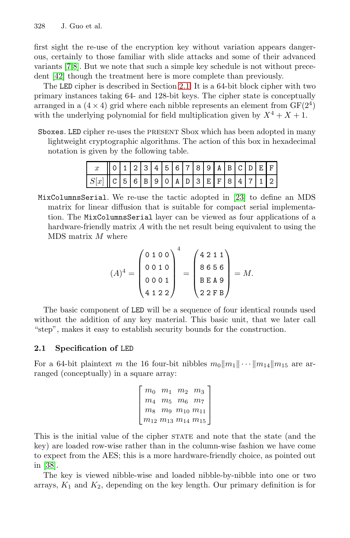first sight the re-use of the encryption key without variation appears dangerous, certainly to those familiar with slide attacks and some of their advanced variants [\[7,](#page-13-3)[8\]](#page-13-4). But we note that such a simple key schedule is not without precedent [\[42\]](#page-15-4) though the treatment here is more complete than previously.

The LED cipher is described in Section [2.1.](#page-2-0) It is a 64-bit block cipher with two primary instances taking 64- and 128-bit keys. The cipher state is conceptually arranged in a  $(4 \times 4)$  grid where each nibble represents an element from  $GF(2^4)$ with the underlying polynomial for field multiplication given by  $X^4 + X + 1$ .

Sboxes. LED cipher re-uses the present Sbox which has been adopted in many lightweight cryptographic algorithms. The action of this box in hexadecimal notation is given by the following table.

|                                                                                                                                                                               | $\left  \right $ 0 1 2 3 4 5 6 7 8 9 A B C D E F |  |  |  |  |  |  |  |  |
|-------------------------------------------------------------------------------------------------------------------------------------------------------------------------------|--------------------------------------------------|--|--|--|--|--|--|--|--|
| $\left  S[x] \right  \left  C \right  5 \left  6 \right  8 \left  9 \right  0 \left  A \right  0 3 \left  E \right  5 \left  8 \right  4 \left  7 \right  1 \left  2 \right $ |                                                  |  |  |  |  |  |  |  |  |

MixColumnsSerial. We re-use the tactic adopted in [\[23\]](#page-14-3) to define an MDS matrix for linear diffusion that is suitable for compact serial implementation. The MixColumnsSerial layer can be viewed as four applications of a hardware-friendly matrix *A* with the net result being equivalent to using the MDS matrix *M* where

$$
(A)^4 = \begin{pmatrix} 0 & 1 & 0 & 0 \\ 0 & 0 & 1 & 0 \\ 0 & 0 & 0 & 1 \\ 4 & 1 & 2 & 2 \end{pmatrix}^4 = \begin{pmatrix} 4 & 2 & 1 & 1 \\ 8 & 6 & 5 & 6 \\ 8 & 6 & 5 & 6 \\ 8 & 6 & 8 & 9 \\ 2 & 2 & 5 & 8 \end{pmatrix} = M.
$$

The basic component of LED will be a sequence of four identical rounds used without the addition of any key material. This basic unit, that we later call "step", makes it easy to establish security bounds for the construction.

## <span id="page-2-0"></span>**2.1 Specification of** LED

For a 64-bit plaintext *m* the 16 four-bit nibbles  $m_0||m_1|| \cdots ||m_{14}||m_{15}$  are arranged (conceptually) in a square array:

```
\lceil\vertm0 m1 m2 m3
 m4 m5 m6 m7
 m8 m9 m10 m11
 m12 m13 m14 m15
                      ⎤
                      \overline{\phantom{a}}
```
This is the initial value of the cipher STATE and note that the state (and the key) are loaded row-wise rather than in the column-wise fashion we have come to expect from the AES; this is a more hardware-friendly choice, as pointed out in [\[38\]](#page-15-5).

The key is viewed nibble-wise and loaded nibble-by-nibble into one or two arrays,  $K_1$  and  $K_2$ , depending on the key length. Our primary definition is for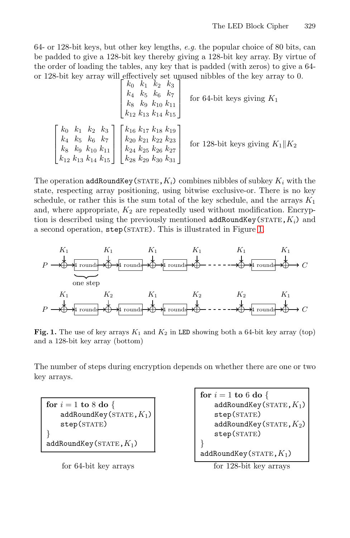64- or 128-bit keys, but other key lengths, *e.g.* the popular choice of 80 bits, can be padded to give a 128-bit key thereby giving a 128-bit key array. By virtue of the order of loading the tables, any key that is padded (with zeros) to give a 64 or 128-bit key array will effectively set unused nibbles of the key array to 0.<br> $\begin{bmatrix} k_0 & k_1 & k_2 & k_3 \end{bmatrix}$ 

$$
\begin{bmatrix}\n k_0 & k_1 & k_2 & k_3 \\
k_4 & k_5 & k_6 & k_7 \\
k_8 & k_9 & k_{10} & k_{11} \\
k_{12} & k_{13} & k_{14} & k_{15}\n\end{bmatrix}
$$
 for 64-bit keys giving  $K_1$   
\n
$$
\begin{bmatrix}\n k_0 & k_1 & k_2 & k_3 \\
k_4 & k_5 & k_6 & k_7 \\
k_8 & k_9 & k_{10} & k_{11} \\
k_{12} & k_{13} & k_{14} & k_{15}\n\end{bmatrix}\n\begin{bmatrix}\n k_{16} & k_{17} & k_{18} & k_{19} \\
k_{20} & k_{21} & k_{22} & k_{23} \\
k_{24} & k_{25} & k_{26} & k_{27} \\
k_{28} & k_{29} & k_{30} & k_{31}\n\end{bmatrix}
$$
 for 128-bit keys giving  $K_1 || K_2$ 

The operation  $\text{addRoundKey}(\text{STATE}, K_i)$  combines nibbles of subkey  $K_i$  with the state, respecting array positioning, using bitwise exclusive-or. There is no key schedule, or rather this is the sum total of the key schedule, and the arrays *K*<sup>1</sup> and, where appropriate,  $K_2$  are repeatedly used without modification. Encryption is described using the previously mentioned addRoundKey( $\text{STATE}, K_i$ ) and a second operation, step(state). This is illustrated in Figure [1.](#page-3-0)



<span id="page-3-0"></span>**Fig. 1.** The use of key arrays  $K_1$  and  $K_2$  in LED showing both a 64-bit key array (top) and a 128-bit key array (bottom)

The number of steps during encryption depends on whether there are one or two key arrays.

**for**  $i = 1$  **to** 8 **do** { addRoundKey(state,*K*1)  $step(STATE)$ } addRoundKey(state,*K*1)

for 64-bit key arrays for 128-bit key arrays

**for**  $i = 1$  **to** 6 **do** { addRoundKey(state,*K*1)  $step(STATE)$ addRoundKey(state,*K*2)  $step(STATE)$ } addRoundKey(state,*K*1)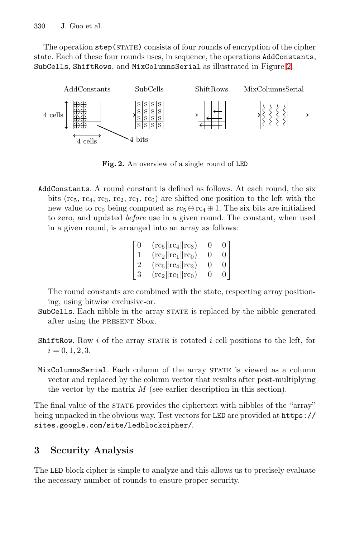The operation step(state) consists of four rounds of encryption of the cipher state. Each of these four rounds uses, in sequence, the operations AddConstants, SubCells, ShiftRows, and MixColumnsSerial as illustrated in Figure [2.](#page-4-0)



**Fig. 2.** An overview of a single round of LED

<span id="page-4-0"></span>AddConstants. A round constant is defined as follows. At each round, the six bits  $(re_5, re_4, re_3, re_2, re_1, re_0)$  are shifted one position to the left with the new value to rc<sub>0</sub> being computed as  $rc_5 \oplus rc_4 \oplus 1$ . The six bits are initialised to zero, and updated *before* use in a given round. The constant, when used in a given round, is arranged into an array as follows:

| $\Omega$       | $({\rm rc}_5\ {\rm rc}_4\ {\rm rc}_3)$          | 0 | 0.       |
|----------------|-------------------------------------------------|---|----------|
|                | $(\text{rc}_2  \text{rc}_1  \text{rc}_0)$       | 0 | $\cap$ . |
| $\overline{2}$ | $({\rm rc}_5\ {\rm rc}_4\ {\rm rc}_3)$          | 0 |          |
| 3              | $(\mathrm{rc}_2\ \mathrm{rc}_1\ \mathrm{rc}_0)$ | 0 |          |

The round constants are combined with the state, respecting array positioning, using bitwise exclusive-or.

- SubCells. Each nibble in the array STATE is replaced by the nibble generated after using the present Sbox.
- ShiftRow. Row *i* of the array STATE is rotated *i* cell positions to the left, for  $i = 0, 1, 2, 3.$
- MixColumnsSerial. Each column of the array STATE is viewed as a column vector and replaced by the column vector that results after post-multiplying the vector by the matrix *M* (see earlier description in this section).

The final value of the state provides the ciphertext with nibbles of the "array" being unpacked in the obvious way. Test vectors for LED are provided at [https://](https://sites.google.com/site/ledblockcipher/) [sites.google.com/site/ledblockcipher/](https://sites.google.com/site/ledblockcipher/).

# **3 Security Analysis**

The LED block cipher is simple to analyze and this allows us to precisely evaluate the necessary number of rounds to ensure proper security.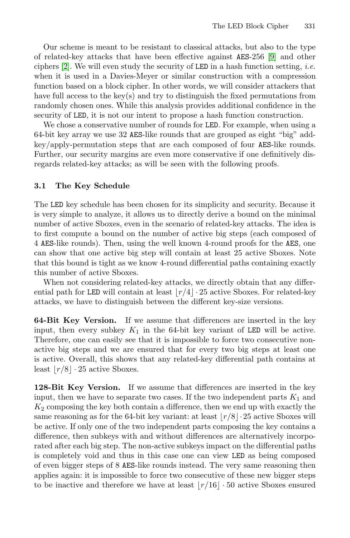Our scheme is meant to be resistant to classical attacks, but also to the type of related-key attacks that have been effective against AES-256 [\[9\]](#page-13-5) and other ciphers [\[2\]](#page-13-0). We will even study the security of LED in a hash function setting, *i.e.* when it is used in a Davies-Meyer or similar construction with a compression function based on a block cipher. In other words, we will consider attackers that have full access to the key(s) and try to distinguish the fixed permutations from randomly chosen ones. While this analysis provides additional confidence in the security of LED, it is not our intent to propose a hash function construction.

We chose a conservative number of rounds for LED. For example, when using a 64-bit key array we use 32 AES-like rounds that are grouped as eight "big" addkey/apply-permutation steps that are each composed of four AES-like rounds. Further, our security margins are even more conservative if one definitively disregards related-key attacks; as will be seen with the following proofs.

#### **3.1 The Key Schedule**

The LED key schedule has been chosen for its simplicity and security. Because it is very simple to analyze, it allows us to directly derive a bound on the minimal number of active Sboxes, even in the scenario of related-key attacks. The idea is to first compute a bound on the number of active big steps (each composed of 4 AES-like rounds). Then, using the well known 4-round proofs for the AES, one can show that one active big step will contain at least 25 active Sboxes. Note that this bound is tight as we know 4-round differential paths containing exactly this number of active Sboxes.

When not considering related-key attacks, we directly obtain that any differential path for LED will contain at least  $|r/4| \cdot 25$  active Sboxes. For related-key attacks, we have to distinguish between the different key-size versions.

**64-Bit Key Version.** If we assume that differences are inserted in the key input, then every subkey  $K_1$  in the 64-bit key variant of LED will be active. Therefore, one can easily see that it is impossible to force two consecutive nonactive big steps and we are ensured that for every two big steps at least one is active. Overall, this shows that any related-key differential path contains at least  $|r/8| \cdot 25$  active Sboxes.

**128-Bit Key Version.** If we assume that differences are inserted in the key input, then we have to separate two cases. If the two independent parts  $K_1$  and *K*<sup>2</sup> composing the key both contain a difference, then we end up with exactly the same reasoning as for the 64-bit key variant: at least  $r/8$   $\cdot$  25 active Sboxes will be active. If only one of the two independent parts composing the key contains a difference, then subkeys with and without differences are alternatively incorporated after each big step. The non-active subkeys impact on the differential paths is completely void and thus in this case one can view LED as being composed of even bigger steps of 8 AES-like rounds instead. The very same reasoning then applies again: it is impossible to force two consecutive of these new bigger steps to be inactive and therefore we have at least  $r/16$  · 50 active Sboxes ensured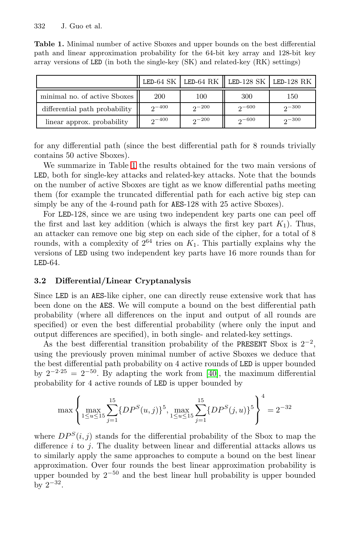|                               |            |            | LED-64 SK LED-64 RK LED-128 SK LED-128 RK |                  |
|-------------------------------|------------|------------|-------------------------------------------|------------------|
| minimal no. of active Sboxes  | 200        | 100        | 300                                       | 150              |
| differential path probability | $2^{-400}$ | $2^{-200}$ | $2 - 600$                                 | $2^{\sim}$ 300   |
| linear approx. probability    | $2 - 400$  | $2^{-200}$ | $2 - 600$                                 | $2^{\sim}$ - 300 |

<span id="page-6-0"></span>**Table 1.** Minimal number of active Sboxes and upper bounds on the best differential path and linear approximation probability for the 64-bit key array and 128-bit key array versions of LED (in both the single-key (SK) and related-key (RK) settings)

for any differential path (since the best differential path for 8 rounds trivially contains 50 active Sboxes).

We summarize in Table [1](#page-6-0) the results obtained for the two main versions of LED, both for single-key attacks and related-key attacks. Note that the bounds on the number of active Sboxes are tight as we know differential paths meeting them (for example the truncated differential path for each active big step can simply be any of the 4-round path for AES-128 with 25 active Sboxes).

For LED-128, since we are using two independent key parts one can peel off the first and last key addition (which is always the first key part  $K_1$ ). Thus, an attacker can remove one big step on each side of the cipher, for a total of 8 rounds, with a complexity of  $2^{64}$  tries on  $K_1$ . This partially explains why the versions of LED using two independent key parts have 16 more rounds than for LED-64.

## **3.2 Differential/Linear Cryptanalysis**

Since LED is an AES-like cipher, one can directly reuse extensive work that has been done on the AES. We will compute a bound on the best differential path probability (where all differences on the input and output of all rounds are specified) or even the best differential probability (where only the input and output differences are specified), in both single- and related-key settings.

As the best differential transition probability of the PRESENT Sbox is  $2^{-2}$ , using the previously proven minimal number of active Sboxes we deduce that the best differential path probability on 4 active rounds of LED is upper bounded by  $2^{-2.25} = 2^{-50}$ . By adapting the work from [\[40\]](#page-15-6), the maximum differential probability for 4 active rounds of LED is upper bounded by

$$
\max \left\{ \max_{1 \le u \le 15} \sum_{j=1}^{15} \{DP^S(u,j)\}^5, \max_{1 \le u \le 15} \sum_{j=1}^{15} \{DP^S(j,u)\}^5 \right\}^4 = 2^{-32}
$$

where  $DP^{S}(i, j)$  stands for the differential probability of the Sbox to map the difference *i* to *j*. The duality between linear and differential attacks allows us to similarly apply the same approaches to compute a bound on the best linear approximation. Over four rounds the best linear approximation probability is upper bounded by  $2^{-50}$  and the best linear hull probability is upper bounded by  $2^{-32}$ .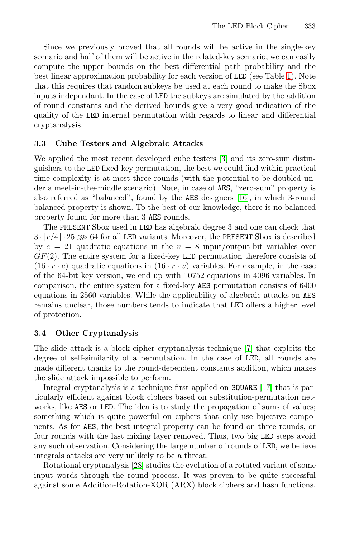Since we previously proved that all rounds will be active in the single-key scenario and half of them will be active in the related-key scenario, we can easily compute the upper bounds on the best differential path probability and the best linear approximation probability for each version of LED (see Table [1\)](#page-6-0). Note that this requires that random subkeys be used at each round to make the Sbox inputs independant. In the case of LED the subkeys are simulated by the addition of round constants and the derived bounds give a very good indication of the quality of the LED internal permutation with regards to linear and differential cryptanalysis.

#### **3.3 Cube Testers and Algebraic Attacks**

We applied the most recent developed cube testers [\[3\]](#page-13-6) and its zero-sum distinguishers to the LED fixed-key permutation, the best we could find within practical time complexity is at most three rounds (with the potential to be doubled under a meet-in-the-middle scenario). Note, in case of AES, "zero-sum" property is also referred as "balanced", found by the AES designers [\[16\]](#page-14-6), in which 3-round balanced property is shown. To the best of our knowledge, there is no balanced property found for more than 3 AES rounds.

The PRESENT Sbox used in LED has algebraic degree 3 and one can check that  $3 \cdot |r/4| \cdot 25 \gg 64$  for all LED variants. Moreover, the PRESENT Sbox is described by  $e = 21$  quadratic equations in the  $v = 8$  input/output-bit variables over *GF*(2). The entire system for a fixed-key LED permutation therefore consists of  $(16 \cdot r \cdot e)$  quadratic equations in  $(16 \cdot r \cdot v)$  variables. For example, in the case of the 64-bit key version, we end up with 10752 equations in 4096 variables. In comparison, the entire system for a fixed-key AES permutation consists of 6400 equations in 2560 variables. While the applicability of algebraic attacks on AES remains unclear, those numbers tends to indicate that LED offers a higher level of protection.

## **3.4 Other Cryptanalysis**

The slide attack is a block cipher cryptanalysis technique [\[7\]](#page-13-3) that exploits the degree of self-similarity of a permutation. In the case of LED, all rounds are made different thanks to the round-dependent constants addition, which makes the slide attack impossible to perform.

Integral cryptanalysis is a technique first applied on SQUARE [\[17\]](#page-14-7) that is particularly efficient against block ciphers based on substitution-permutation networks, like AES or LED. The idea is to study the propagation of sums of values; something which is quite powerful on ciphers that only use bijective components. As for AES, the best integral property can be found on three rounds, or four rounds with the last mixing layer removed. Thus, two big LED steps avoid any such observation. Considering the large number of rounds of LED, we believe integrals attacks are very unlikely to be a threat.

Rotational cryptanalysis [\[28\]](#page-14-8) studies the evolution of a rotated variant of some input words through the round process. It was proven to be quite successful against some Addition-Rotation-XOR (ARX) block ciphers and hash functions.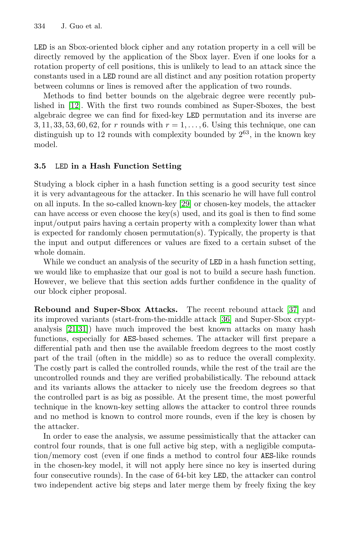LED is an Sbox-oriented block cipher and any rotation property in a cell will be directly removed by the application of the Sbox layer. Even if one looks for a rotation property of cell positions, this is unlikely to lead to an attack since the constants used in a LED round are all distinct and any position rotation property between columns or lines is removed after the application of two rounds.

Methods to find better bounds on the algebraic degree were recently published in [\[12\]](#page-13-7). With the first two rounds combined as Super-Sboxes, the best algebraic degree we can find for fixed-key LED permutation and its inverse are  $3, 11, 33, 53, 60, 62$ , for *r* rounds with  $r = 1, \ldots, 6$ . Using this technique, one can distinguish up to 12 rounds with complexity bounded by  $2^{63}$ , in the known key model.

#### **3.5** LED **in a Hash Function Setting**

Studying a block cipher in a hash function setting is a good security test since it is very advantageous for the attacker. In this scenario he will have full control on all inputs. In the so-called known-key [\[29\]](#page-14-9) or chosen-key models, the attacker can have access or even choose the key(s) used, and its goal is then to find some input/output pairs having a certain property with a complexity lower than what is expected for randomly chosen permutation(s). Typically, the property is that the input and output differences or values are fixed to a certain subset of the whole domain.

While we conduct an analysis of the security of LED in a hash function setting, we would like to emphasize that our goal is not to build a secure hash function. However, we believe that this section adds further confidence in the quality of our block cipher proposal.

**Rebound and Super-Sbox Attacks.** The recent rebound attack [\[37\]](#page-15-7) and its improved variants (start-from-the-middle attack [\[36\]](#page-15-8) and Super-Sbox cryptanalysis [\[21](#page-14-10)[,31\]](#page-14-11)) have much improved the best known attacks on many hash functions, especially for AES-based schemes. The attacker will first prepare a differential path and then use the available freedom degrees to the most costly part of the trail (often in the middle) so as to reduce the overall complexity. The costly part is called the controlled rounds, while the rest of the trail are the uncontrolled rounds and they are verified probabilistically. The rebound attack and its variants allows the attacker to nicely use the freedom degrees so that the controlled part is as big as possible. At the present time, the most powerful technique in the known-key setting allows the attacker to control three rounds and no method is known to control more rounds, even if the key is chosen by the attacker.

In order to ease the analysis, we assume pessimistically that the attacker can control four rounds, that is one full active big step, with a negligible computation/memory cost (even if one finds a method to control four AES-like rounds in the chosen-key model, it will not apply here since no key is inserted during four consecutive rounds). In the case of 64-bit key LED, the attacker can control two independent active big steps and later merge them by freely fixing the key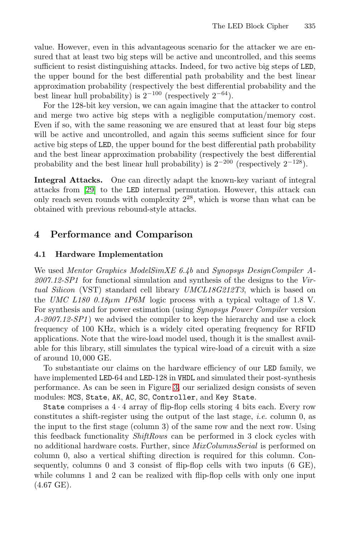value. However, even in this advantageous scenario for the attacker we are ensured that at least two big steps will be active and uncontrolled, and this seems sufficient to resist distinguishing attacks. Indeed, for two active big steps of LED, the upper bound for the best differential path probability and the best linear approximation probability (respectively the best differential probability and the best linear hull probability) is  $2^{-100}$  (respectively  $2^{-64}$ ).

For the 128-bit key version, we can again imagine that the attacker to control and merge two active big steps with a negligible computation/memory cost. Even if so, with the same reasoning we are ensured that at least four big steps will be active and uncontrolled, and again this seems sufficient since for four active big steps of LED, the upper bound for the best differential path probability and the best linear approximation probability (respectively the best differential probability and the best linear hull probability) is  $2^{-200}$  (respectively  $2^{-128}$ ).

**Integral Attacks.** One can directly adapt the known-key variant of integral attacks from [\[29\]](#page-14-9) to the LED internal permutation. However, this attack can only reach seven rounds with complexity  $2^{28}$ , which is worse than what can be obtained with previous rebound-style attacks.

## **4 Performance and Comparison**

#### **4.1 Hardware Implementation**

We used *Mentor Graphics ModelSimXE 6.4b* and *Synopsys DesignCompiler A-2007.12-SP1* for functional simulation and synthesis of the designs to the *Virtual Silicon* (VST) standard cell library *UMCL18G212T3*, which is based on the *UMC L180 0.18µm 1P6M* logic process with a typical voltage of 1*.*8 V. For synthesis and for power estimation (using *Synopsys Power Compiler* version *A-2007.12-SP1*) we advised the compiler to keep the hierarchy and use a clock frequency of 100 KHz, which is a widely cited operating frequency for RFID applications. Note that the wire-load model used, though it is the smallest available for this library, still simulates the typical wire-load of a circuit with a size of around 10*,* 000 GE.

To substantiate our claims on the hardware efficiency of our LED family, we have implemented LED-64 and LED-128 in VHDL and simulated their post-synthesis performance. As can be seen in Figure [3,](#page-10-0) our serialized design consists of seven modules: MCS, State, AK, AC, SC, Controller, and Key State.

State comprises a  $4 \cdot 4$  array of flip-flop cells storing 4 bits each. Every row constitutes a shift-register using the output of the last stage, *i.e.* column 0, as the input to the first stage (column 3) of the same row and the next row. Using this feedback functionality *ShiftRows* can be performed in 3 clock cycles with no additional hardware costs. Further, since *MixColumnsSerial* is performed on column 0, also a vertical shifting direction is required for this column. Consequently, columns 0 and 3 consist of flip-flop cells with two inputs (6 GE), while columns 1 and 2 can be realized with flip-flop cells with only one input (4.67 GE).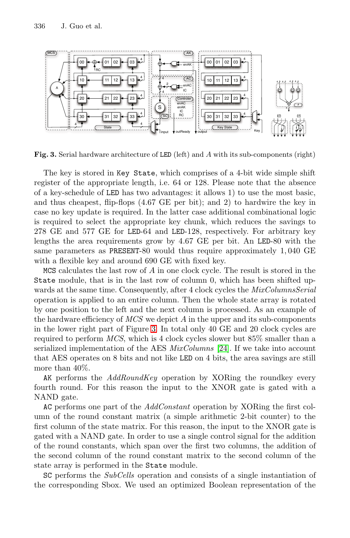

<span id="page-10-0"></span>**Fig. 3.** Serial hardware architecture of LED (left) and *A* with its sub-components (right)

The key is stored in Key State, which comprises of a 4-bit wide simple shift register of the appropriate length, i.e. 64 or 128. Please note that the absence of a key-schedule of LED has two advantages: it allows 1) to use the most basic, and thus cheapest, flip-flops (4*.*67 GE per bit); and 2) to hardwire the key in case no key update is required. In the latter case additional combinational logic is required to select the appropriate key chunk, which reduces the savings to 278 GE and 577 GE for LED-64 and LED-128, respectively. For arbitrary key lengths the area requirements grow by 4*.*67 GE per bit. An LED-80 with the same parameters as PRESENT-80 would thus require approximately 1*,* 040 GE with a flexible key and around 690 GE with fixed key.

MCS calculates the last row of *A* in one clock cycle. The result is stored in the State module, that is in the last row of column 0, which has been shifted upwards at the same time. Consequently, after 4 clock cycles the *MixColumnsSerial* operation is applied to an entire column. Then the whole state array is rotated by one position to the left and the next column is processed. As an example of the hardware efficiency of *MCS* we depict *A* in the upper and its sub-components in the lower right part of Figure [3.](#page-10-0) In total only 40 GE and 20 clock cycles are required to perform *MCS*, which is 4 clock cycles slower but 85% smaller than a serialized implementation of the AES *MixColumns* [\[24\]](#page-14-12). If we take into account that AES operates on 8 bits and not like LED on 4 bits, the area savings are still more than 40%.

AK performs the *AddRoundKey* operation by XORing the roundkey every fourth round. For this reason the input to the XNOR gate is gated with a NAND gate.

AC performs one part of the *AddConstant* operation by XORing the first column of the round constant matrix (a simple arithmetic 2-bit counter) to the first column of the state matrix. For this reason, the input to the XNOR gate is gated with a NAND gate. In order to use a single control signal for the addition of the round constants, which span over the first two columns, the addition of the second column of the round constant matrix to the second column of the state array is performed in the State module.

SC performs the *SubCells* operation and consists of a single instantiation of the corresponding Sbox. We used an optimized Boolean representation of the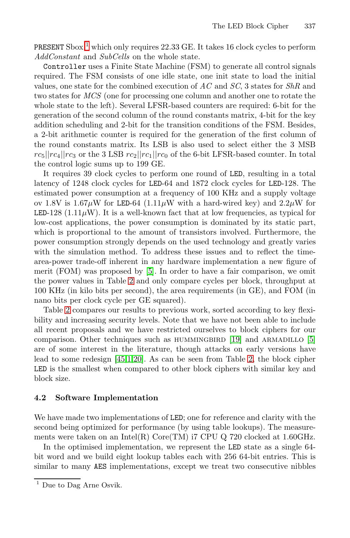PRESENT Sbox,<sup>[1](#page-11-0)</sup> which only requires 22.33 GE. It takes 16 clock cycles to perform *AddConstant* and *SubCells* on the whole state.

Controller uses a Finite State Machine (FSM) to generate all control signals required. The FSM consists of one idle state, one init state to load the initial values, one state for the combined execution of *AC* and *SC*, 3 states for *ShR* and two states for *MCS* (one for processing one column and another one to rotate the whole state to the left). Several LFSR-based counters are required: 6-bit for the generation of the second column of the round constants matrix, 4-bit for the key addition scheduling and 2-bit for the transition conditions of the FSM. Besides, a 2-bit arithmetic counter is required for the generation of the first column of the round constants matrix. Its LSB is also used to select either the 3 MSB  $rc_5||rc_4||rc_3$  or the 3 LSB  $rc_2||rc_1||rc_0$  of the 6-bit LFSR-based counter. In total the control logic sums up to 199 GE.

It requires 39 clock cycles to perform one round of LED, resulting in a total latency of 1248 clock cycles for LED-64 and 1872 clock cycles for LED-128. The estimated power consumption at a frequency of 100 KHz and a supply voltage ov 1.8V is  $1.67\mu$ W for LED-64  $(1.11\mu)$ W with a hard-wired key) and  $2.2\mu$ W for LED-128  $(1.11\,\mu\text{W})$ . It is a well-known fact that at low frequencies, as typical for low-cost applications, the power consumption is dominated by its static part, which is proportional to the amount of transistors involved. Furthermore, the power consumption strongly depends on the used technology and greatly varies with the simulation method. To address these issues and to reflect the timearea-power trade-off inherent in any hardware implementation a new figure of merit (FOM) was proposed by [\[5\]](#page-13-8). In order to have a fair comparison, we omit the power values in Table [2](#page-12-0) and only compare cycles per block, throughput at 100 KHz (in kilo bits per second), the area requirements (in GE), and FOM (in nano bits per clock cycle per GE squared).

Table [2](#page-12-0) compares our results to previous work, sorted according to key flexibility and increasing security levels. Note that we have not been able to include all recent proposals and we have restricted ourselves to block ciphers for our comparison. Other techniques such as  $HUMMINGBIRD$  [\[19\]](#page-14-13) and ARMADILLO [\[5\]](#page-13-8) are of some interest in the literature, though attacks on early versions have lead to some redesign [\[45](#page-15-0)[,1](#page-13-9)[,20\]](#page-14-14). As can be seen from Table [2,](#page-12-0) the block cipher LED is the smallest when compared to other block ciphers with similar key and block size.

#### **4.2 Software Implementation**

We have made two implementations of LED; one for reference and clarity with the second being optimized for performance (by using table lookups). The measurements were taken on an Intel(R) Core(TM) i7 CPU Q 720 clocked at 1.60GHz.

In the optimised implementation, we represent the LED state as a single 64 bit word and we build eight lookup tables each with 256 64-bit entries. This is similar to many AES implementations, except we treat two consecutive nibbles

<span id="page-11-0"></span><sup>&</sup>lt;sup>1</sup> Due to Dag Arne Osvik.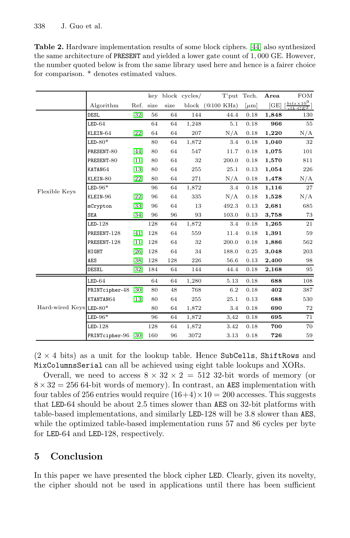|                         |                     |        | kev  |      | block cycles/ | T'put Tech.                |           | Area  | <b>FOM</b>                             |
|-------------------------|---------------------|--------|------|------|---------------|----------------------------|-----------|-------|----------------------------------------|
|                         | Algorithm           | Ref.   | size | size |               | block $(@100 \text{ KHz})$ | $[\mu m]$ | [GE]  | $\frac{bits\times10^9}{clk\cdot GE^2}$ |
|                         | <b>DESL</b>         | $[32]$ | 56   | 64   | 144           | 44.4                       | 0.18      | 1,848 | 130                                    |
|                         | $LED-64$            |        | 64   | 64   | 1,248         | 5.1                        | 0.18      | 966   | 55                                     |
|                         | KLEIN-64            | [22]   | 64   | 64   | 207           | N/A                        | 0.18      | 1,220 | N/A                                    |
|                         | $LED-80*$           |        | 80   | 64   | 1,872         | 3.4                        | 0.18      | 1,040 | 32                                     |
|                         | PRESENT-80          | [44]   | 80   | 64   | 547           | 11.7                       | 0.18      | 1,075 | 101                                    |
|                         | PRESENT-80          | $[11]$ | 80   | 64   | 32            | 200.0                      | 0.18      | 1,570 | 811                                    |
|                         | KATAN64             | $[13]$ | 80   | 64   | 255           | 25.1                       | 0.13      | 1,054 | 226                                    |
|                         | KLEIN-80            | $[22]$ | 80   | 64   | 271           | N/A                        | 0.18      | 1,478 | N/A                                    |
| Flexible Keys           | $LED-96*$           |        | 96   | 64   | 1,872         | 3.4                        | 0.18      | 1,116 | 27                                     |
|                         | KLEIN-96            | $[22]$ | 96   | 64   | 335           | N/A                        | 0.18      | 1,528 | N/A                                    |
|                         | mCrypton            | $[33]$ | 96   | 64   | 13            | 492.3                      | 0.13      | 2,681 | 685                                    |
|                         | <b>SEA</b>          | $[34]$ | 96   | 96   | 93            | 103.0                      | 0.13      | 3,758 | 73                                     |
|                         | $LED-128$           |        | 128  | 64   | 1,872         | 3.4                        | 0.18      | 1,265 | 21                                     |
|                         | PRESENT-128         | [41]   | 128  | 64   | 559           | 11.4                       | 0.18      | 1,391 | 59                                     |
|                         | PRESENT-128         | $[11]$ | 128  | 64   | 32            | 200.0                      | 0.18      | 1,886 | 562                                    |
|                         | HIGHT               | [26]   | 128  | 64   | 34            | 188.0                      | 0.25      | 3,048 | 203                                    |
|                         | <b>AES</b>          | [38]   | 128  | 128  | 226           | 56.6                       | 0.13      | 2,400 | 98                                     |
|                         | <b>DESXL</b>        | $[32]$ | 184  | 64   | 144           | 44.4                       | 0.18      | 2,168 | 95                                     |
|                         | $LED-64$            |        | 64   | 64   | 1,280         | 5.13                       | 0.18      | 688   | 108                                    |
|                         | PRINTcipher-48      | [30]   | 80   | 48   | 768           | 6.2                        | 0.18      | 402   | 387                                    |
|                         | KTANTAN64           | $[13]$ | 80   | 64   | 255           | 25.1                       | 0.13      | 688   | 530                                    |
| Hard-wired Keys LED-80* |                     |        | 80   | 64   | 1,872         | 3.4                        | 0.18      | 690   | 72                                     |
|                         | $LED-96*$           |        | 96   | 64   | 1,872         | 3,42                       | 0.18      | 695   | 71                                     |
|                         | $LED-128$           |        | 128  | 64   | 1,872         | 3.42                       | 0.18      | 700   | 70                                     |
|                         | PRINTcipher-96 [30] |        | 160  | 96   | 3072          | 3.13                       | 0.18      | 726   | 59                                     |

<span id="page-12-0"></span>**Table 2.** Hardware implementation results of some block ciphers. [\[44\]](#page-15-9) also synthesized the same architecture of PRESENT and yielded a lower gate count of 1*,* 000 GE. However, the number quoted below is from the same library used here and hence is a fairer choice for comparison. \* denotes estimated values.

 $(2 \times 4$  bits) as a unit for the lookup table. Hence SubCells, ShiftRows and MixColumnsSerial can all be achieved using eight table lookups and XORs.

Overall, we need to access  $8 \times 32 \times 2 = 512$  32-bit words of memory (or  $8 \times 32 = 256$  64-bit words of memory). In contrast, an AES implementation with four tables of 256 entries would require  $(16+4) \times 10 = 200$  accesses. This suggests that LED-64 should be about 2.5 times slower than AES on 32-bit platforms with table-based implementations, and similarly LED-128 will be 3.8 slower than AES, while the optimized table-based implementation runs 57 and 86 cycles per byte for LED-64 and LED-128, respectively.

## **5 Conclusion**

In this paper we have presented the block cipher LED. Clearly, given its novelty, the cipher should not be used in applications until there has been sufficient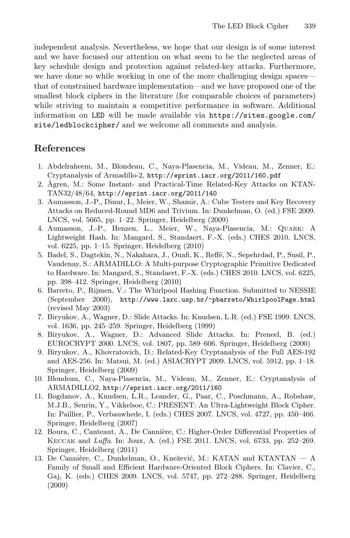independent analysis. Nevertheless, we hope that our design is of some interest and we have focused our attention on what seem to be the neglected areas of key schedule design and protection against related-key attacks. Furthermore, we have done so while working in one of the more challenging design spaces that of constrained hardware implementation—and we have proposed one of the smallest block ciphers in the literature (for comparable choices of parameters) while striving to maintain a competitive performance in software. Additional information on LED will be made available via [https://sites.google.com/](https://sites.google.com/site/ledblockcipher/) [site/ledblockcipher/](https://sites.google.com/site/ledblockcipher/) and we welcome all comments and analysis.

### <span id="page-13-9"></span>**References**

- 1. Abdelraheem, M., Blondeau, C., Naya-Plasencia, M., Videau, M., Zenner, E.: Cryptanalysis of Armadillo-2, <http://eprint.iacr.org/2011/160.pdf>
- <span id="page-13-0"></span>2. Ågren, M.: Some Instant- and Practical-Time Related-Key Attacks on KTAN-TAN32/48/64, <http://eprint.iacr.org/2011/140>
- <span id="page-13-6"></span>3. Aumasson, J.-P., Dinur, I., Meier, W., Shamir, A.: Cube Testers and Key Recovery Attacks on Reduced-Round MD6 and Trivium. In: Dunkelman, O. (ed.) FSE 2009. LNCS, vol. 5665, pp. 1–22. Springer, Heidelberg (2009)
- <span id="page-13-2"></span>4. Aumasson, J.-P., Henzen, L., Meier, W., Naya-Plasencia, M.: Quark: A Lightweight Hash. In: Mangard, S., Standaert, F.-X. (eds.) CHES 2010. LNCS, vol. 6225, pp. 1–15. Springer, Heidelberg (2010)
- <span id="page-13-8"></span>5. Badel, S., Dagtekin, N., Nakahara, J., Ouafi, K., Reffé, N., Sepehrdad, P., Susil, P., Vaudenay, S.: ARMADILLO: A Multi-purpose Cryptographic Primitive Dedicated to Hardware. In: Mangard, S., Standaert, F.-X. (eds.) CHES 2010. LNCS, vol. 6225, pp. 398–412. Springer, Heidelberg (2010)
- 6. Barreto, P., Rijmen, V.: The Whirlpool Hashing Function. Submitted to NESSIE (September 2000), <http://www.larc.usp.br/~pbarreto/WhirlpoolPage.html> (revised May 2003)
- <span id="page-13-3"></span>7. Biryukov, A., Wagner, D.: Slide Attacks. In: Knudsen, L.R. (ed.) FSE 1999. LNCS, vol. 1636, pp. 245–259. Springer, Heidelberg (1999)
- <span id="page-13-4"></span>8. Biryukov, A., Wagner, D.: Advanced Slide Attacks. In: Preneel, B. (ed.) EUROCRYPT 2000. LNCS, vol. 1807, pp. 589–606. Springer, Heidelberg (2000)
- <span id="page-13-5"></span>9. Biryukov, A., Khovratovich, D.: Related-Key Cryptanalysis of the Full AES-192 and AES-256. In: Matsui, M. (ed.) ASIACRYPT 2009. LNCS, vol. 5912, pp. 1–18. Springer, Heidelberg (2009)
- <span id="page-13-1"></span>10. Blondeau, C., Naya-Plasencia, M., Videau, M., Zenner, E.: Cryptanalysis of ARMADILLO2, <http://eprint.iacr.org/2011/160>
- <span id="page-13-10"></span>11. Bogdanov, A., Knudsen, L.R., Leander, G., Paar, C., Poschmann, A., Robshaw, M.J.B., Seurin, Y., Vikkelsoe, C.: PRESENT: An Ultra-Lightweight Block Cipher. In: Paillier, P., Verbauwhede, I. (eds.) CHES 2007. LNCS, vol. 4727, pp. 450–466. Springer, Heidelberg (2007)
- <span id="page-13-7"></span>12. Boura, C., Canteaut, A., De Cannière, C.: Higher-Order Differential Properties of Keccak and Luffa. In: Joux, A. (ed.) FSE 2011. LNCS, vol. 6733, pp. 252–269. Springer, Heidelberg (2011)
- <span id="page-13-11"></span>13. De Cannière, C., Dunkelman, O., Knežević, M.: KATAN and KTANTAN — A Family of Small and Efficient Hardware-Oriented Block Ciphers. In: Clavier, C., Gaj, K. (eds.) CHES 2009. LNCS, vol. 5747, pp. 272–288. Springer, Heidelberg (2009)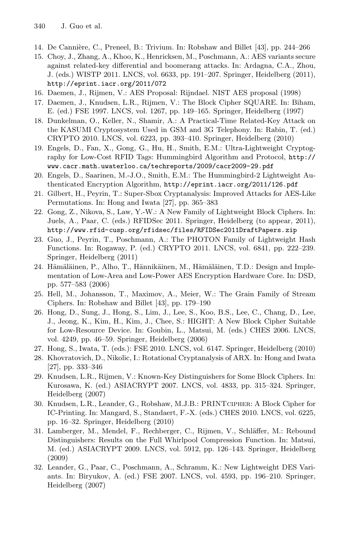- <span id="page-14-4"></span><span id="page-14-1"></span>14. De Cannière, C., Preneel, B.: Trivium. In: Robshaw and Billet [43], pp. 244–266
- 15. Choy, J., Zhang, A., Khoo, K., Henricksen, M., Poschmann, A.: AES variants secure against related-key differential and boomerang attacks. In: Ardagna, C.A., Zhou, J. (eds.) WISTP 2011. LNCS, vol. 6633, pp. 191–207. Springer, Heidelberg (2011), <http://eprint.iacr.org/2011/072>
- <span id="page-14-7"></span><span id="page-14-6"></span>16. Daemen, J., Rijmen, V.: AES Proposal: Rijndael. NIST AES proposal (1998)
- 17. Daemen, J., Knudsen, L.R., Rijmen, V.: The Block Cipher SQUARE. In: Biham, E. (ed.) FSE 1997. LNCS, vol. 1267, pp. 149–165. Springer, Heidelberg (1997)
- <span id="page-14-0"></span>18. Dunkelman, O., Keller, N., Shamir, A.: A Practical-Time Related-Key Attack on the KASUMI Cryptosystem Used in GSM and 3G Telephony. In: Rabin, T. (ed.) CRYPTO 2010. LNCS, vol. 6223, pp. 393–410. Springer, Heidelberg (2010)
- <span id="page-14-13"></span>19. Engels, D., Fan, X., Gong, G., Hu, H., Smith, E.M.: Ultra-Lightweight Cryptography for Low-Cost RFID Tags: Hummingbird Algorithm and Protocol, [http://](http://www.cacr.math.uwaterloo.ca/techreports/2009/cacr2009-29.pdf) [www.cacr.math.uwaterloo.ca/techreports/2009/cacr2009-29.pdf](http://www.cacr.math.uwaterloo.ca/techreports/2009/cacr2009-29.pdf)
- <span id="page-14-14"></span>20. Engels, D., Saarinen, M.-J.O., Smith, E.M.: The Hummingbird-2 Lightweight Authenticated Encryption Algorithm, <http://eprint.iacr.org/2011/126.pdf>
- <span id="page-14-10"></span>21. Gilbert, H., Peyrin, T.: Super-Sbox Cryptanalysis: Improved Attacks for AES-Like Permutations. In: Hong and Iwata [27], pp. 365–383
- <span id="page-14-2"></span>22. Gong, Z., Nikova, S., Law, Y.-W.: A New Family of Lightweight Block Ciphers. In: Juels, A., Paar, C. (eds.) RFIDSec 2011. Springer, Heidelberg (to appear, 2011), <http://www.rfid-cusp.org/rfidsec/files/RFIDSec2011DraftPapers.zip>
- <span id="page-14-3"></span>23. Guo, J., Peyrin, T., Poschmann, A.: The PHOTON Family of Lightweight Hash Functions. In: Rogaway, P. (ed.) CRYPTO 2011. LNCS, vol. 6841, pp. 222–239. Springer, Heidelberg (2011)
- <span id="page-14-12"></span>24. Hämäläinen, P., Alho, T., Hännikäinen, M., Hämäläinen, T.D.: Design and Implementation of Low-Area and Low-Power AES Encryption Hardware Core. In: DSD, pp. 577–583 (2006)
- <span id="page-14-5"></span>25. Hell, M., Johansson, T., Maximov, A., Meier, W.: The Grain Family of Stream Ciphers. In: Robshaw and Billet [43], pp. 179–190
- <span id="page-14-16"></span>26. Hong, D., Sung, J., Hong, S., Lim, J., Lee, S., Koo, B.S., Lee, C., Chang, D., Lee, J., Jeong, K., Kim, H., Kim, J., Chee, S.: HIGHT: A New Block Cipher Suitable for Low-Resource Device. In: Goubin, L., Matsui, M. (eds.) CHES 2006. LNCS, vol. 4249, pp. 46–59. Springer, Heidelberg (2006)
- <span id="page-14-8"></span>27. Hong, S., Iwata, T. (eds.): FSE 2010. LNCS, vol. 6147. Springer, Heidelberg (2010)
- 28. Khovratovich, D., Nikolic, I.: Rotational Cryptanalysis of ARX. In: Hong and Iwata [27], pp. 333–346
- <span id="page-14-9"></span>29. Knudsen, L.R., Rijmen, V.: Known-Key Distinguishers for Some Block Ciphers. In: Kurosawa, K. (ed.) ASIACRYPT 2007. LNCS, vol. 4833, pp. 315–324. Springer, Heidelberg (2007)
- <span id="page-14-17"></span>30. Knudsen, L.R., Leander, G., Robshaw, M.J.B.: PRINTcipher: A Block Cipher for IC-Printing. In: Mangard, S., Standaert, F.-X. (eds.) CHES 2010. LNCS, vol. 6225, pp. 16–32. Springer, Heidelberg (2010)
- <span id="page-14-11"></span>31. Lamberger, M., Mendel, F., Rechberger, C., Rijmen, V., Schläffer, M.: Rebound Distinguishers: Results on the Full Whirlpool Compression Function. In: Matsui, M. (ed.) ASIACRYPT 2009. LNCS, vol. 5912, pp. 126–143. Springer, Heidelberg (2009)
- <span id="page-14-15"></span>32. Leander, G., Paar, C., Poschmann, A., Schramm, K.: New Lightweight DES Variants. In: Biryukov, A. (ed.) FSE 2007. LNCS, vol. 4593, pp. 196–210. Springer, Heidelberg (2007)